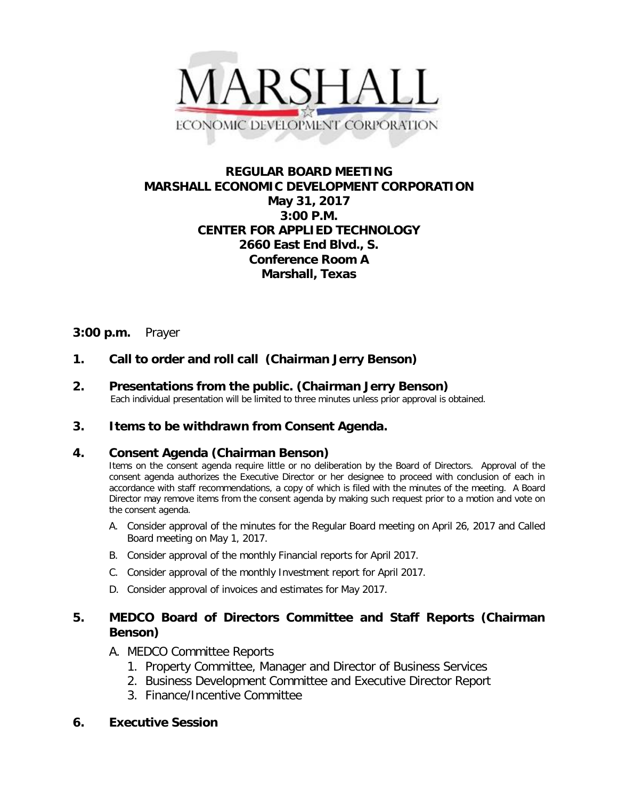

# **REGULAR BOARD MEETING MARSHALL ECONOMIC DEVELOPMENT CORPORATION May 31, 2017 3:00 P.M. CENTER FOR APPLIED TECHNOLOGY 2660 East End Blvd., S. Conference Room A Marshall, Texas**

# **3:00 p.m.** Prayer

## **1. Call to order and roll call (Chairman Jerry Benson)**

**2.** Presentations from the public. (Chairman Jerry Benson)<br>Each individual presentation will be limited to three minutes unless prior approval is obtained.

### **3. Items to be withdrawn from Consent Agenda.**

### **4. Consent Agenda (Chairman Benson)**

Items on the consent agenda require little or no deliberation by the Board of Directors. Approval of the consent agenda authorizes the Executive Director or her designee to proceed with conclusion of each in accordance with staff recommendations, a copy of which is filed with the minutes of the meeting. A Board Director may remove items from the consent agenda by making such request prior to a motion and vote on the consent agenda.

- A. Consider approval of the minutes for the Regular Board meeting on April 26, 2017 and Called Board meeting on May 1, 2017.
- B. Consider approval of the monthly Financial reports for April 2017.
- C. Consider approval of the monthly Investment report for April 2017.
- D. Consider approval of invoices and estimates for May 2017.

## **5. MEDCO Board of Directors Committee and Staff Reports (Chairman Benson)**

## A. MEDCO Committee Reports

- 1. Property Committee, Manager and Director of Business Services
- 2. Business Development Committee and Executive Director Report
- 3. Finance/Incentive Committee

### **6. Executive Session**